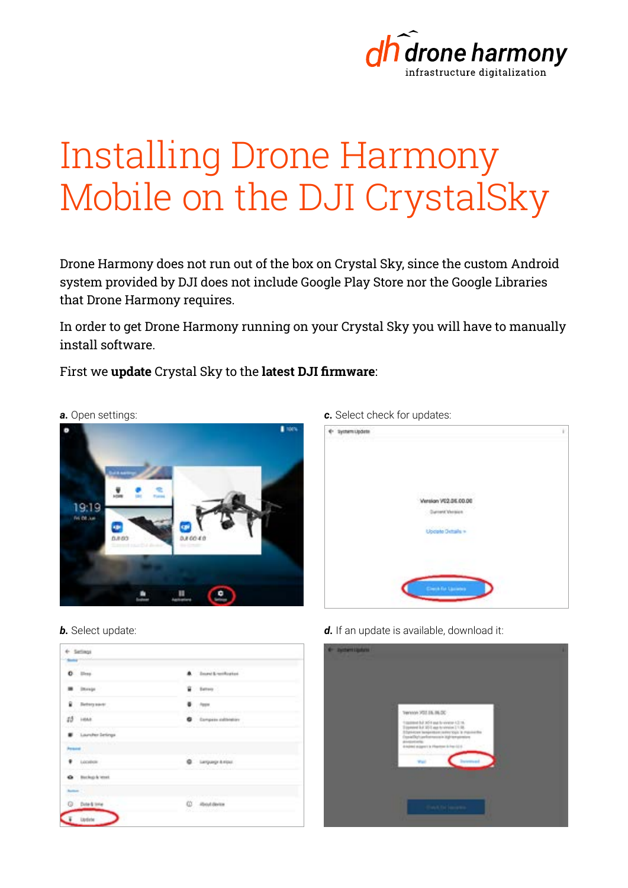

## Installing Drone Harmony Mobile on the DJI CrystalSky

Drone Harmony does not run out of the box on Crystal Sky, since the custom Android system provided by DJI does not include Google Play Store nor the Google Libraries that Drone Harmony requires.

In order to get Drone Harmony running on your Crystal Sky you will have to manually install software.

First we **update** Crystal Sky to the **latest DJI firmware**:



*b.* Select update:

| 0.111                | A Insection for a lot of                                                           |  |
|----------------------|------------------------------------------------------------------------------------|--|
| <b>B</b> Dongs       | a terry                                                                            |  |
| B Detatyment         | <b>F</b> from                                                                      |  |
| 23 Hours             | <b>Call and article &amp; Minimum &amp; Kalledo</b><br><b>O</b> European extension |  |
| Larshe letrys        |                                                                                    |  |
| <b>Power</b>         |                                                                                    |  |
| $\bullet$ : Location | <b>Q</b> Lequigr & rips:                                                           |  |
| @ Bolightest         |                                                                                    |  |
| <b>Section</b>       |                                                                                    |  |
| C: Dote & time       | C - Routderin                                                                      |  |

*c.* Select check for updates:



d. If an update is available, download it:

| <b>C System LipArre</b><br><b><i><u>ALCOHOL: 2001</u></i></b> |                                                                                                                                                                                                                                                                                   |  |
|---------------------------------------------------------------|-----------------------------------------------------------------------------------------------------------------------------------------------------------------------------------------------------------------------------------------------------------------------------------|--|
|                                                               |                                                                                                                                                                                                                                                                                   |  |
|                                                               | TW1101 703 SIL 86.00                                                                                                                                                                                                                                                              |  |
|                                                               | 10 S. E. F. entreted all 2005 of the first filled to provide a 10 million<br>Eligation Ed. 2011 aux to virtuos 2.1.18.<br>Detector langesters (arter tips & maximities<br>Counsellike's performance in High templomizers<br>monda<br>drivated stages to Physical Artes (2) 6<br>œ |  |
|                                                               | <b>The State County</b>                                                                                                                                                                                                                                                           |  |
|                                                               | <b>Concil Tel Securities</b>                                                                                                                                                                                                                                                      |  |